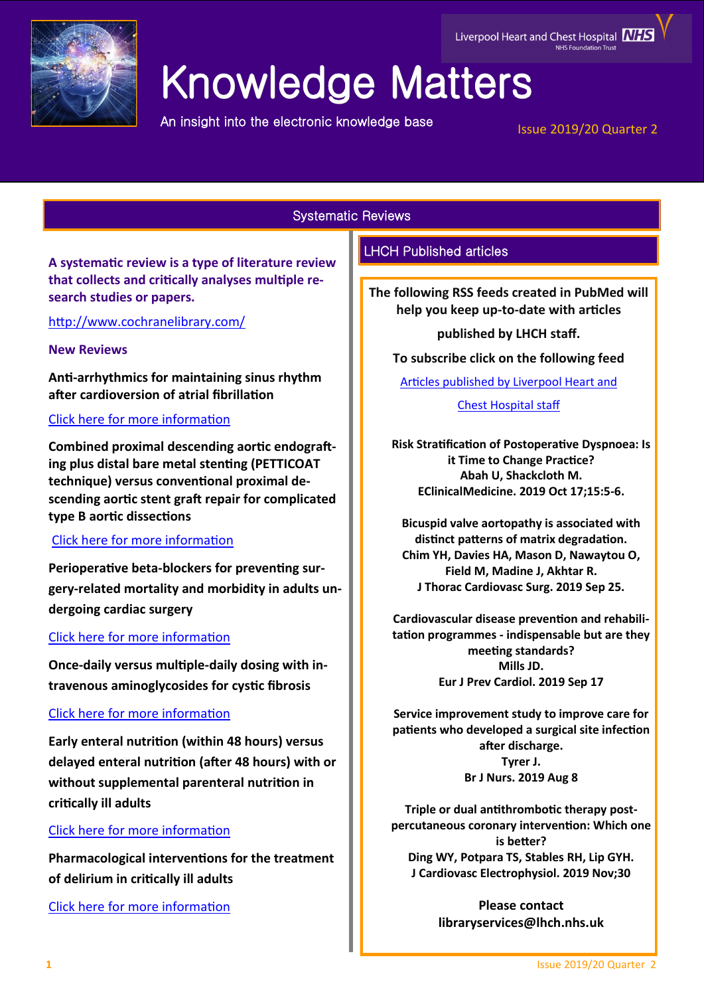

# Knowledge Matters

An insight into the electronic knowledge base

## Liverpool Heart and Chest Hospital **NHS**

Issue 2019/20 Quarter 2

Systematic Reviews

**A systematic review is a type of literature review that collects and critically analyses multiple research studies or papers.** 

<http://www.cochranelibrary.com/>

## **New Reviews**

**Anti-arrhythmics for maintaining sinus rhythm after cardioversion of atrial fibrillation**

## [Click here for more information](https://www.cochranelibrary.com/cdsr/doi/10.1002/14651858.CD005049.pub5/full?highlightAbstract=withdrawn)

**Combined proximal descending aortic endografting plus distal bare metal stenting (PETTICOAT technique) versus conventional proximal descending aortic stent graft repair for complicated type B aortic dissections**

## [Click here for more information](https://www.cochranelibrary.com/cdsr/doi/10.1002/14651858.CD013149.pub2/full?highlightAbstract=withdrawn)

**Perioperative beta-blockers for preventing surgery-related mortality and morbidity in adults undergoing cardiac surgery**

## [Click here for more information](https://www.cochranelibrary.com/cdsr/doi/10.1002/14651858.CD013435/full?highlightAbstract=withdrawn)

**Once-daily versus multiple-daily dosing with intravenous aminoglycosides for cystic fibrosis**

## [Click here for more information](https://www.cochranelibrary.com/cdsr/doi/10.1002/14651858.CD002009.pub7/full?highlightAbstract=withdrawn)

**Early enteral nutrition (within 48 hours) versus delayed enteral nutrition (after 48 hours) with or without supplemental parenteral nutrition in critically ill adults**

## [Click here for more information](https://www.cochranelibrary.com/cdsr/doi/10.1002/14651858.CD012340.pub2/full?highlightAbstract=withdrawn)

**Pharmacological interventions for the treatment of delirium in critically ill adults**

[Click here for more information](https://www.cochranelibrary.com/cdsr/doi/10.1002/14651858.CD011749.pub2/full?highlightAbstract=withdrawn)

## LHCH Published articles

**The following RSS feeds created in PubMed will help you keep up-to-date with articles** 

**published by LHCH staff.**

**To subscribe click on the following feed** 

[Articles published by Liverpool Heart and](http://eutils.ncbi.nlm.nih.gov/entrez/eutils/erss.cgi?rss_guid=1jmC0p0kwOiCcrGq4UdlH-eTmaOgJ316E2QW_6DKsMnynMiQ2d) 

[Chest Hospital staff](http://eutils.ncbi.nlm.nih.gov/entrez/eutils/erss.cgi?rss_guid=1jmC0p0kwOiCcrGq4UdlH-eTmaOgJ316E2QW_6DKsMnynMiQ2d) 

**Risk Stratification of Postoperative Dyspnoea: Is it Time to Change Practice? Abah U, Shackcloth M. EClinicalMedicine. 2019 Oct 17;15:5-6.** 

**Bicuspid valve aortopathy is associated with distinct patterns of matrix degradation. Chim YH, Davies HA, Mason D, Nawaytou O, Field M, Madine J, Akhtar R. J Thorac Cardiovasc Surg. 2019 Sep 25.** 

**Cardiovascular disease prevention and rehabilitation programmes - indispensable but are they meeting standards? Mills JD. Eur J Prev Cardiol. 2019 Sep 17**

**Service improvement study to improve care for patients who developed a surgical site infection after discharge. Tyrer J. Br J Nurs. 2019 Aug 8**

**Triple or dual antithrombotic therapy postpercutaneous coronary intervention: Which one is better? Ding WY, Potpara TS, Stables RH, Lip GYH. J Cardiovasc Electrophysiol. 2019 Nov;30**

> **Please contact libraryservices@lhch.nhs.uk**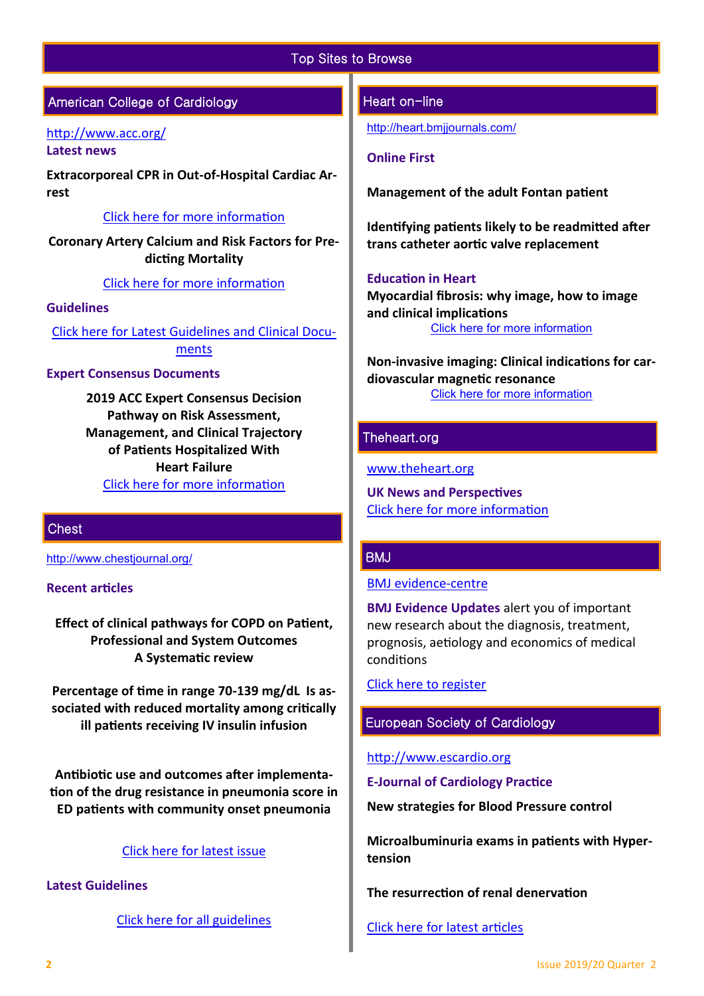## Top Sites to Browse

## American College of Cardiology

#### <http://www.acc.org/> **Latest news**

**Extracorporeal CPR in Out-of-Hospital Cardiac Arrest**

## [Click here for more information](https://www.acc.org/latest-in-cardiology/journal-scans/2019/11/13/16/00/extracorporeal-cardiopulmonary-resuscitation-in-out)

**Coronary Artery Calcium and Risk Factors for Predicting Mortality**

### [Click here for more information](https://www.acc.org/latest-in-cardiology/journal-scans/2019/11/13/15/27/interplay-of-coronary-artery-calcium-and-risk)

### **Guidelines**

[Click here for Latest Guidelines and Clinical Docu](http://www.acc.org/guidelines#sort=%40foriginalz32xpostedz32xdate86069%20descending&f:@fdocumentz32xtype86069_670363a472df42e3adff1c75ae78b00f=[Guidelines]http://www.acc.org/guidelines)[ments](http://www.acc.org/guidelines#sort=%40foriginalz32xpostedz32xdate86069%20descending&f:@fdocumentz32xtype86069_670363a472df42e3adff1c75ae78b00f=[Guidelines]http://www.acc.org/guidelines) 

#### **Expert Consensus Documents**

**2019 ACC Expert Consensus Decision Pathway on Risk Assessment, Management, and Clinical Trajectory of Patients Hospitalized With Heart Failure** [Click here for more information](https://www.acc.org/guidelines#tab1) 

## **Chest**

[http://www.chestjournal.org/](https://journal.chestnet.org/)

## **Recent articles**

**Effect of clinical pathways for COPD on Patient, Professional and System Outcomes A Systematic review** 

**Percentage of time in range 70-139 mg/dL Is associated with reduced mortality among critically ill patients receiving IV insulin infusion**

**Antibiotic use and outcomes after implementation of the drug resistance in pneumonia score in ED patients with community onset pneumonia** 

## [Click here for latest issue](http://journal.chestnet.org/current)

## **Latest Guidelines**

[Click here for all guidelines](http://journal.chestnet.org/guidelines)

#### Heart on-line

<http://heart.bmjjournals.com/>

#### **Online First**

**Management of the adult Fontan patient**

**Identifying patients likely to be readmitted after trans catheter aortic valve replacement**

#### **Education in Heart**

**Myocardial fibrosis: why image, how to image and clinical implications** [Click here for more information](https://heart.bmj.com/content/105/23/1832)

**Non-invasive imaging: Clinical indications for cardiovascular magnetic resonance** [Click here for more information](https://heart.bmj.com/content/105/22#EducationinHeart)

## Theheart.org

[www.theheart.org](https://www.medscape.com/cardiology?t=1)

**UK News and Perspectives** [Click here for more information](https://www.medscape.com/cardiology?t=1)

### BMJ

[BMJ evidence](http://plus.mcmaster.ca/EvidenceUpdates/Default.aspx)-centre

**BMJ Evidence Updates** alert you of important new research about the diagnosis, treatment, prognosis, aetiology and economics of medical conditions

[Click here to register](http://plus.mcmaster.ca/EvidenceUpdates/Registration.aspx)

## European Society of Cardiology

#### [http://www.escardio.org](http://www.escardio.org/Pages/index.aspx)

**E-Journal of Cardiology Practice**

**New strategies for Blood Pressure control** 

**Microalbuminuria exams in patients with Hypertension** 

**The resurrection of renal denervation** 

[Click here for latest articles](https://www.escardio.org/Journals/E-Journal-of-Cardiology-Practice/Volume-17)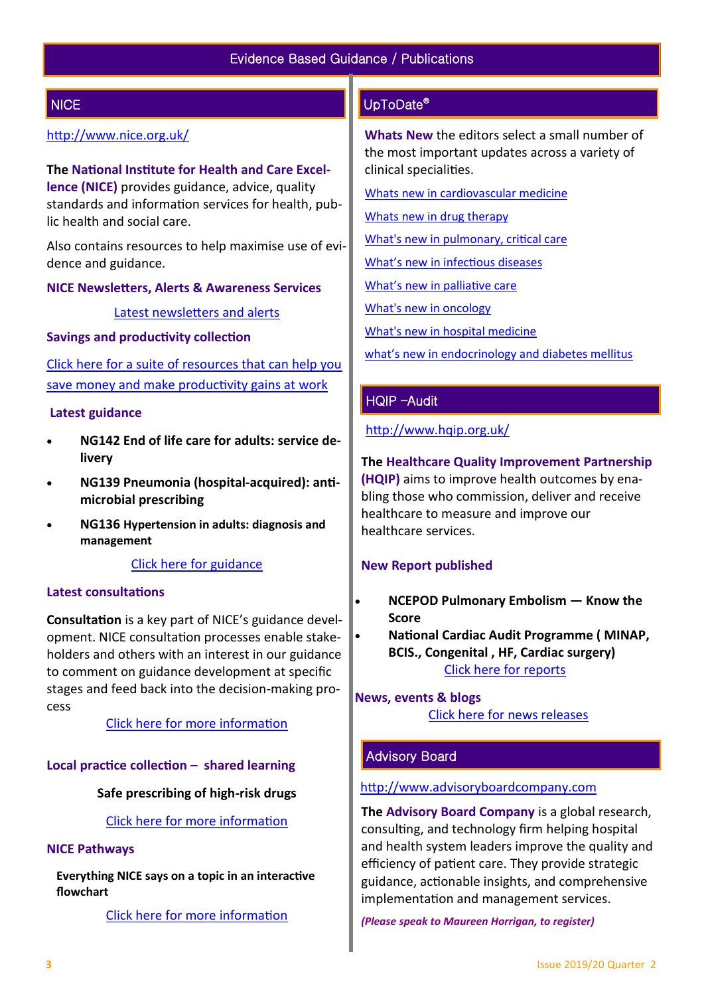## **NICE**

## <http://www.nice.org.uk/>

**The National Institute for Health and Care Excellence (NICE)** provides guidance, advice, quality standards and information services for health, public health and social care.

Also contains resources to help maximise use of evidence and guidance.

**NICE Newsletters, Alerts & Awareness Services** 

[Latest newsletters and alerts](http://www.nice.org.uk/news/nice-newsletters-and-alerts)

## **Savings and productivity collection**

[Click here for a suite of resources that can help you](https://www.nice.org.uk/about/What-we-do/Our-Programmes/Savings-And-Productivity-Collection)  [save money and make productivity gains at work](https://www.nice.org.uk/about/What-we-do/Our-Programmes/Savings-And-Productivity-Collection)

## **Latest guidance**

- **NG142 End of life care for adults: service delivery**
- **NG139 Pneumonia (hospital-acquired): antimicrobial prescribing**
- **NG136 Hypertension in adults: diagnosis and management**

[Click here for guidance](https://www.nice.org.uk/guidance/published?type=apg,csg,cg,mpg,ph,sg,sc)

#### **Latest consultations**

**Consultation** is a key part of NICE's guidance development. NICE consultation processes enable stakeholders and others with an interest in our guidance to comment on guidance development at specific stages and feed back into the decision-making process

[Click here for more information](https://www.nice.org.uk/guidance/inconsultation) 

## **Local practice collection – shared learning**

## **Safe prescribing of high-risk drugs**

[Click here for more information](https://www.nice.org.uk/localPractice/collection) 

#### **NICE Pathways**

**Everything NICE says on a topic in an interactive flowchart** 

[Click here for more information](https://pathways.nice.org.uk/) 

## UpToDate®

**Whats New** the editors select a small number of the most important updates across a variety of clinical specialities.

[Whats new in cardiovascular medicine](http://www.uptodate.com/contents/whats-new-in-cardiovascular-medicine)

[Whats new in drug therapy](http://www.uptodate.com/contents/whats-new-in-drug-therapy)

[What's new in pulmonary, critical care](http://www.uptodate.com/contents/whats-new-in-pulmonary-critical-care-and-sleep-medicine)

[What's new in infectious diseases](http://www.uptodate.com/contents/whats-new-in-infectious-diseases)

[What's new in palliative care](http://www.uptodate.com/contents/whats-new-in-palliative-care)

[What's new in oncology](http://www.uptodate.com/contents/whats-new-in-oncology)

[What's new in hospital medicine](http://www.uptodate.com/contents/whats-new-in-hospital-medicine)

[what's new in endocrinology and diabetes mellitus](http://www.uptodate.com/contents/whats-new-in-endocrinology-and-diabetes-mellitus)

## HQIP –Audit

<http://www.hqip.org.uk/>

**The Healthcare Quality Improvement Partnership (HQIP)** aims to improve health outcomes by enabling those who commission, deliver and receive healthcare to measure and improve our healthcare services.

## **New Report published**

- **NCEPOD Pulmonary Embolism — Know the Score**
- **National Cardiac Audit Programme ( MINAP, BCIS., Congenital , HF, Cardiac surgery)**  [Click here for reports](http://www.hqip.org.uk/resources/?fwp_resource_type=reports#.XC9IK4dXU5i)

**News, events & blogs [Click here for news releases](http://www.hqip.org.uk/news-releases/)** 

## Advisory Board

## [http://www.advisoryboardcompany.com](http://www.advisoryboardcompany.com/)

**The Advisory Board Company** is a global research, consulting, and technology firm helping hospital and health system leaders improve the quality and efficiency of patient care. They provide strategic guidance, actionable insights, and comprehensive implementation and management services.

*(Please speak to Maureen Horrigan, to register)*